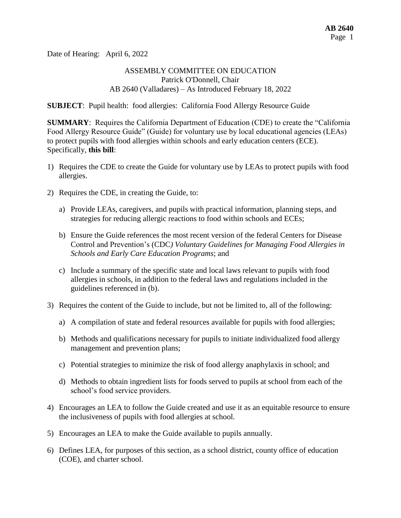Date of Hearing: April 6, 2022

## ASSEMBLY COMMITTEE ON EDUCATION Patrick O'Donnell, Chair AB 2640 (Valladares) – As Introduced February 18, 2022

**SUBJECT**: Pupil health: food allergies: California Food Allergy Resource Guide

**SUMMARY**: Requires the California Department of Education (CDE) to create the "California Food Allergy Resource Guide" (Guide) for voluntary use by local educational agencies (LEAs) to protect pupils with food allergies within schools and early education centers (ECE). Specifically, **this bill**:

- 1) Requires the CDE to create the Guide for voluntary use by LEAs to protect pupils with food allergies.
- 2) Requires the CDE, in creating the Guide, to:
	- a) Provide LEAs, caregivers, and pupils with practical information, planning steps, and strategies for reducing allergic reactions to food within schools and ECEs;
	- b) Ensure the Guide references the most recent version of the federal Centers for Disease Control and Prevention's (CDC*) Voluntary Guidelines for Managing Food Allergies in Schools and Early Care Education Programs*; and
	- c) Include a summary of the specific state and local laws relevant to pupils with food allergies in schools, in addition to the federal laws and regulations included in the guidelines referenced in (b).
- 3) Requires the content of the Guide to include, but not be limited to, all of the following:
	- a) A compilation of state and federal resources available for pupils with food allergies;
	- b) Methods and qualifications necessary for pupils to initiate individualized food allergy management and prevention plans;
	- c) Potential strategies to minimize the risk of food allergy anaphylaxis in school; and
	- d) Methods to obtain ingredient lists for foods served to pupils at school from each of the school's food service providers.
- 4) Encourages an LEA to follow the Guide created and use it as an equitable resource to ensure the inclusiveness of pupils with food allergies at school.
- 5) Encourages an LEA to make the Guide available to pupils annually.
- 6) Defines LEA, for purposes of this section, as a school district, county office of education (COE), and charter school.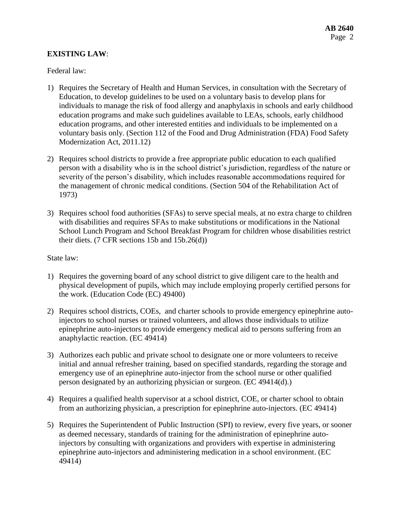# **EXISTING LAW**:

Federal law:

- 1) Requires the Secretary of Health and Human Services, in consultation with the Secretary of Education, to develop guidelines to be used on a voluntary basis to develop plans for individuals to manage the risk of food allergy and anaphylaxis in schools and early childhood education programs and make such guidelines available to LEAs, schools, early childhood education programs, and other interested entities and individuals to be implemented on a voluntary basis only. (Section 112 of the Food and Drug Administration (FDA) Food Safety Modernization Act, 2011.12)
- 2) Requires school districts to provide a free appropriate public education to each qualified person with a disability who is in the school district's jurisdiction, regardless of the nature or severity of the person's disability, which includes reasonable accommodations required for the management of chronic medical conditions. (Section 504 of the Rehabilitation Act of 1973)
- 3) Requires school food authorities (SFAs) to serve special meals, at no extra charge to children with disabilities and requires SFAs to make substitutions or modifications in the National School Lunch Program and School Breakfast Program for children whose disabilities restrict their diets. (7 CFR sections 15b and 15b.26(d))

#### State law:

- 1) Requires the governing board of any school district to give diligent care to the health and physical development of pupils, which may include employing properly certified persons for the work. (Education Code (EC) 49400)
- 2) Requires school districts, COEs, and charter schools to provide emergency epinephrine autoinjectors to school nurses or trained volunteers, and allows those individuals to utilize epinephrine auto-injectors to provide emergency medical aid to persons suffering from an anaphylactic reaction. (EC 49414)
- 3) Authorizes each public and private school to designate one or more volunteers to receive initial and annual refresher training, based on specified standards, regarding the storage and emergency use of an epinephrine auto-injector from the school nurse or other qualified person designated by an authorizing physician or surgeon. (EC 49414(d).)
- 4) Requires a qualified health supervisor at a school district, COE, or charter school to obtain from an authorizing physician, a prescription for epinephrine auto-injectors. (EC 49414)
- 5) Requires the Superintendent of Public Instruction (SPI) to review, every five years, or sooner as deemed necessary, standards of training for the administration of epinephrine autoinjectors by consulting with organizations and providers with expertise in administering epinephrine auto-injectors and administering medication in a school environment. (EC 49414)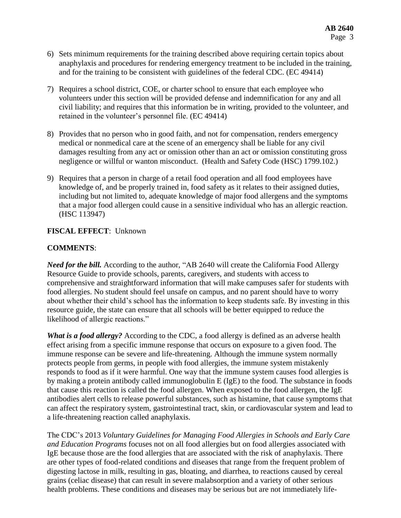- 6) Sets minimum requirements for the training described above requiring certain topics about anaphylaxis and procedures for rendering emergency treatment to be included in the training, and for the training to be consistent with guidelines of the federal CDC. (EC 49414)
- 7) Requires a school district, COE, or charter school to ensure that each employee who volunteers under this section will be provided defense and indemnification for any and all civil liability; and requires that this information be in writing, provided to the volunteer, and retained in the volunteer's personnel file. (EC 49414)
- 8) Provides that no person who in good faith, and not for compensation, renders emergency medical or nonmedical care at the scene of an emergency shall be liable for any civil damages resulting from any act or omission other than an act or omission constituting gross negligence or willful or wanton misconduct. (Health and Safety Code (HSC) 1799.102.)
- 9) Requires that a person in charge of a retail food operation and all food employees have knowledge of, and be properly trained in, food safety as it relates to their assigned duties, including but not limited to, adequate knowledge of major food allergens and the symptoms that a major food allergen could cause in a sensitive individual who has an allergic reaction. (HSC 113947)

## **FISCAL EFFECT**: Unknown

# **COMMENTS**:

*Need for the bill.* According to the author, "AB 2640 will create the California Food Allergy Resource Guide to provide schools, parents, caregivers, and students with access to comprehensive and straightforward information that will make campuses safer for students with food allergies. No student should feel unsafe on campus, and no parent should have to worry about whether their child's school has the information to keep students safe. By investing in this resource guide, the state can ensure that all schools will be better equipped to reduce the likelihood of allergic reactions."

*What is a food allergy?* According to the CDC, a food allergy is defined as an adverse health effect arising from a specific immune response that occurs on exposure to a given food. The immune response can be severe and life-threatening. Although the immune system normally protects people from germs, in people with food allergies, the immune system mistakenly responds to food as if it were harmful. One way that the immune system causes food allergies is by making a protein antibody called immunoglobulin E (IgE) to the food. The substance in foods that cause this reaction is called the food allergen. When exposed to the food allergen, the IgE antibodies alert cells to release powerful substances, such as histamine, that cause symptoms that can affect the respiratory system, gastrointestinal tract, skin, or cardiovascular system and lead to a life-threatening reaction called anaphylaxis.

The CDC's 2013 *Voluntary Guidelines for Managing Food Allergies in Schools and Early Care and Education Programs* focuses not on all food allergies but on food allergies associated with IgE because those are the food allergies that are associated with the risk of anaphylaxis. There are other types of food-related conditions and diseases that range from the frequent problem of digesting lactose in milk, resulting in gas, bloating, and diarrhea, to reactions caused by cereal grains (celiac disease) that can result in severe malabsorption and a variety of other serious health problems. These conditions and diseases may be serious but are not immediately life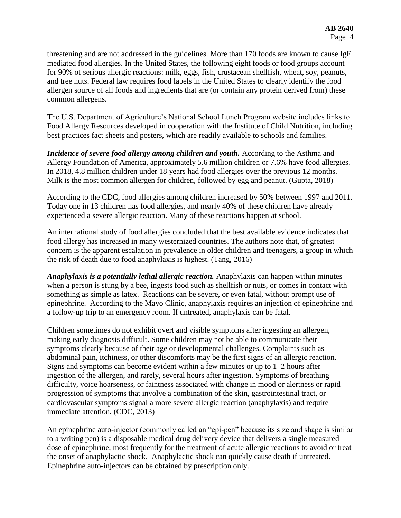threatening and are not addressed in the guidelines. More than 170 foods are known to cause IgE mediated food allergies. In the United States, the following eight foods or food groups account for 90% of serious allergic reactions: milk, eggs, fish, crustacean shellfish, wheat, soy, peanuts, and tree nuts. Federal law requires food labels in the United States to clearly identify the food allergen source of all foods and ingredients that are (or contain any protein derived from) these common allergens.

The U.S. Department of Agriculture's National School Lunch Program website includes links to Food Allergy Resources developed in cooperation with the Institute of Child Nutrition, including best practices fact sheets and posters, which are readily available to schools and families.

*Incidence of severe food allergy among children and youth.* According to the Asthma and Allergy Foundation of America, approximately 5.6 million children or 7.6% have food allergies. In 2018, 4.8 million children under 18 years had food allergies over the previous 12 months. Milk is the most common allergen for children, followed by egg and peanut. (Gupta, 2018)

According to the CDC, food allergies among children increased by 50% between 1997 and 2011. Today one in 13 children has food allergies, and nearly 40% of these children have already experienced a severe allergic reaction. Many of these reactions happen at school.

An international study of food allergies concluded that the best available evidence indicates that food allergy has increased in many westernized countries. The authors note that, of greatest concern is the apparent escalation in prevalence in older children and teenagers, a group in which the risk of death due to food anaphylaxis is highest. (Tang, 2016)

*Anaphylaxis is a potentially lethal allergic reaction.* Anaphylaxis can happen within minutes when a person is stung by a bee, ingests food such as shellfish or nuts, or comes in contact with something as simple as latex. Reactions can be severe, or even fatal, without prompt use of epinephrine. According to the Mayo Clinic, anaphylaxis requires an injection of epinephrine and a follow-up trip to an emergency room. If untreated, anaphylaxis can be fatal.

Children sometimes do not exhibit overt and visible symptoms after ingesting an allergen, making early diagnosis difficult. Some children may not be able to communicate their symptoms clearly because of their age or developmental challenges. Complaints such as abdominal pain, itchiness, or other discomforts may be the first signs of an allergic reaction. Signs and symptoms can become evident within a few minutes or up to 1–2 hours after ingestion of the allergen, and rarely, several hours after ingestion. Symptoms of breathing difficulty, voice hoarseness, or faintness associated with change in mood or alertness or rapid progression of symptoms that involve a combination of the skin, gastrointestinal tract, or cardiovascular symptoms signal a more severe allergic reaction (anaphylaxis) and require immediate attention. (CDC, 2013)

An epinephrine auto-injector (commonly called an "epi-pen" because its size and shape is similar to a writing pen) is a disposable medical drug delivery device that delivers a single measured dose of epinephrine, most frequently for the treatment of acute allergic reactions to avoid or treat the onset of anaphylactic shock. Anaphylactic shock can quickly cause death if untreated. Epinephrine auto-injectors can be obtained by prescription only.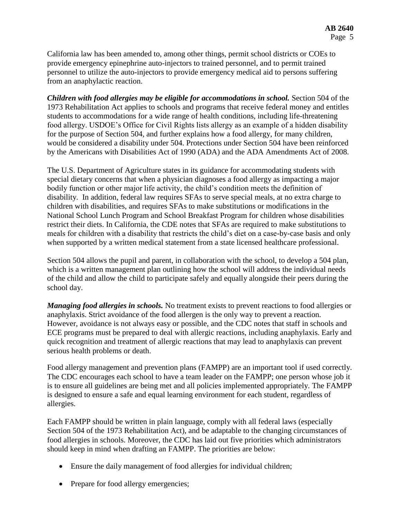California law has been amended to, among other things, permit school districts or COEs to provide emergency epinephrine auto-injectors to trained personnel, and to permit trained personnel to utilize the auto-injectors to provide emergency medical aid to persons suffering from an anaphylactic reaction.

*Children with food allergies may be eligible for accommodations in school.* Section 504 of the 1973 Rehabilitation Act applies to schools and programs that receive federal money and entitles students to accommodations for a wide range of health conditions, including life-threatening food allergy. USDOE's Office for Civil Rights lists allergy as an example of a hidden disability for the purpose of Section 504, and further explains how a food allergy, for many children, would be considered a disability under 504. Protections under Section 504 have been reinforced by the Americans with Disabilities Act of 1990 (ADA) and the ADA Amendments Act of 2008.

The U.S. Department of Agriculture states in its guidance for accommodating students with special dietary concerns that when a physician diagnoses a food allergy as impacting a major bodily function or other major life activity, the child's condition meets the definition of disability. In addition, federal law requires SFAs to serve special meals, at no extra charge to children with disabilities, and requires SFAs to make substitutions or modifications in the National School Lunch Program and School Breakfast Program for children whose disabilities restrict their diets. In California, the CDE notes that SFAs are required to make substitutions to meals for children with a disability that restricts the child's diet on a case-by-case basis and only when supported by a written medical statement from a state licensed healthcare professional.

Section 504 allows the pupil and parent, in collaboration with the school, to develop a 504 plan, which is a written management plan outlining how the school will address the individual needs of the child and allow the child to participate safely and equally alongside their peers during the school day.

*Managing food allergies in schools.* No treatment exists to prevent reactions to food allergies or anaphylaxis. Strict avoidance of the food allergen is the only way to prevent a reaction. However, avoidance is not always easy or possible, and the CDC notes that staff in schools and ECE programs must be prepared to deal with allergic reactions, including anaphylaxis. Early and quick recognition and treatment of allergic reactions that may lead to anaphylaxis can prevent serious health problems or death.

Food allergy management and prevention plans (FAMPP) are an important tool if used correctly. The CDC encourages each school to have a team leader on the FAMPP; one person whose job it is to ensure all guidelines are being met and all policies implemented appropriately. The FAMPP is designed to ensure a safe and equal learning environment for each student, regardless of allergies.

Each FAMPP should be written in plain language, comply with all federal laws (especially Section 504 of the 1973 Rehabilitation Act), and be adaptable to the changing circumstances of food allergies in schools. Moreover, the CDC has laid out five priorities which administrators should keep in mind when drafting an FAMPP. The priorities are below:

- Ensure the daily management of food allergies for individual children;
- Prepare for food allergy emergencies;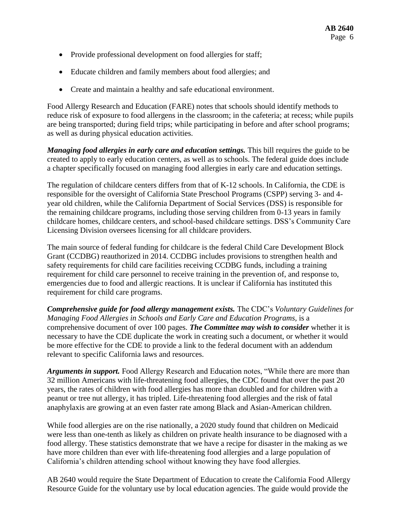- Provide professional development on food allergies for staff;
- Educate children and family members about food allergies; and
- Create and maintain a healthy and safe educational environment.

Food Allergy Research and Education (FARE) notes that schools should identify methods to reduce risk of exposure to food allergens in the classroom; in the cafeteria; at recess; while pupils are being transported; during field trips; while participating in before and after school programs; as well as during physical education activities.

*Managing food allergies in early care and education settings.* This bill requires the guide to be created to apply to early education centers, as well as to schools. The federal guide does include a chapter specifically focused on managing food allergies in early care and education settings.

The regulation of childcare centers differs from that of K-12 schools. In California, the CDE is responsible for the oversight of California State Preschool Programs (CSPP) serving 3- and 4 year old children, while the California Department of Social Services (DSS) is responsible for the remaining childcare programs, including those serving children from 0-13 years in family childcare homes, childcare centers, and school-based childcare settings. DSS's Community Care Licensing Division oversees licensing for all childcare providers.

The main source of federal funding for childcare is the federal Child Care Development Block Grant (CCDBG) reauthorized in 2014. CCDBG includes provisions to strengthen health and safety requirements for child care facilities receiving CCDBG funds, including a training requirement for child care personnel to receive training in the prevention of, and response to, emergencies due to food and allergic reactions. It is unclear if California has instituted this requirement for child care programs.

*Comprehensive guide for food allergy management exists.* The CDC's *Voluntary Guidelines for Managing Food Allergies in Schools and Early Care and Education Programs, is a* comprehensive document of over 100 pages. *The Committee may wish to consider* whether it is necessary to have the CDE duplicate the work in creating such a document, or whether it would be more effective for the CDE to provide a link to the federal document with an addendum relevant to specific California laws and resources.

*Arguments in support.* Food Allergy Research and Education notes, "While there are more than 32 million Americans with life-threatening food allergies, the CDC found that over the past 20 years, the rates of children with food allergies has more than doubled and for children with a peanut or tree nut allergy, it has tripled. Life-threatening food allergies and the risk of fatal anaphylaxis are growing at an even faster rate among Black and Asian-American children.

While food allergies are on the rise nationally, a 2020 study found that children on Medicaid were less than one-tenth as likely as children on private health insurance to be diagnosed with a food allergy. These statistics demonstrate that we have a recipe for disaster in the making as we have more children than ever with life-threatening food allergies and a large population of California's children attending school without knowing they have food allergies.

AB 2640 would require the State Department of Education to create the California Food Allergy Resource Guide for the voluntary use by local education agencies. The guide would provide the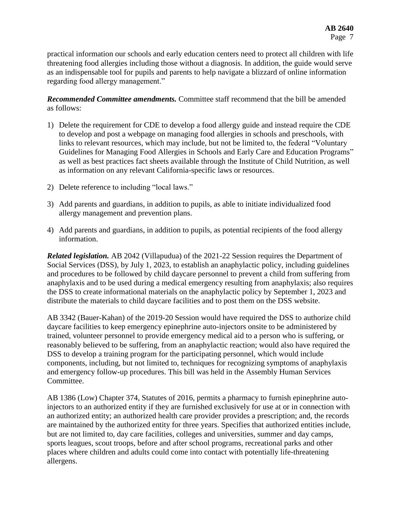practical information our schools and early education centers need to protect all children with life threatening food allergies including those without a diagnosis. In addition, the guide would serve as an indispensable tool for pupils and parents to help navigate a blizzard of online information regarding food allergy management."

*Recommended Committee amendments.* Committee staff recommend that the bill be amended as follows:

- 1) Delete the requirement for CDE to develop a food allergy guide and instead require the CDE to develop and post a webpage on managing food allergies in schools and preschools, with links to relevant resources, which may include, but not be limited to, the federal "Voluntary Guidelines for Managing Food Allergies in Schools and Early Care and Education Programs" as well as best practices fact sheets available through the Institute of Child Nutrition, as well as information on any relevant California-specific laws or resources.
- 2) Delete reference to including "local laws."
- 3) Add parents and guardians, in addition to pupils, as able to initiate individualized food allergy management and prevention plans.
- 4) Add parents and guardians, in addition to pupils, as potential recipients of the food allergy information.

*Related legislation.* AB 2042 (Villapudua) of the 2021-22 Session requires the Department of Social Services (DSS), by July 1, 2023, to establish an anaphylactic policy, including guidelines and procedures to be followed by child daycare personnel to prevent a child from suffering from anaphylaxis and to be used during a medical emergency resulting from anaphylaxis; also requires the DSS to create informational materials on the anaphylactic policy by September 1, 2023 and distribute the materials to child daycare facilities and to post them on the DSS website.

AB 3342 (Bauer-Kahan) of the 2019-20 Session would have required the DSS to authorize child daycare facilities to keep emergency epinephrine auto-injectors onsite to be administered by trained, volunteer personnel to provide emergency medical aid to a person who is suffering, or reasonably believed to be suffering, from an anaphylactic reaction; would also have required the DSS to develop a training program for the participating personnel, which would include components, including, but not limited to, techniques for recognizing symptoms of anaphylaxis and emergency follow-up procedures. This bill was held in the Assembly Human Services Committee.

AB 1386 (Low) Chapter 374, Statutes of 2016, permits a pharmacy to furnish epinephrine autoinjectors to an authorized entity if they are furnished exclusively for use at or in connection with an authorized entity; an authorized health care provider provides a prescription; and, the records are maintained by the authorized entity for three years. Specifies that authorized entities include, but are not limited to, day care facilities, colleges and universities, summer and day camps, sports leagues, scout troops, before and after school programs, recreational parks and other places where children and adults could come into contact with potentially life-threatening allergens.